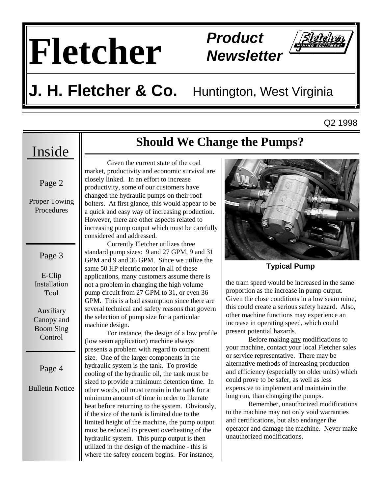# **Fletcher Product**

## **Newsletter**



#### **J. H. Fletcher & Co.** Huntington, West Virginia

Q2 1998

#### Inside

Page 2

Proper Towing Procedures

Page 3

E-Clip Installation Tool

Auxiliary Canopy and Boom Sing Control

Page 4

Bulletin Notice

#### **Should We Change the Pumps?**

 Given the current state of the coal market, productivity and economic survival are closely linked. In an effort to increase productivity, some of our customers have changed the hydraulic pumps on their roof bolters. At first glance, this would appear to be a quick and easy way of increasing production. However, there are other aspects related to increasing pump output which must be carefully considered and addressed.

 Currently Fletcher utilizes three standard pump sizes: 9 and 27 GPM, 9 and 31 GPM and 9 and 36 GPM. Since we utilize the same 50 HP electric motor in all of these applications, many customers assume there is not a problem in changing the high volume pump circuit from 27 GPM to 31, or even 36 GPM. This is a bad assumption since there are several technical and safety reasons that govern the selection of pump size for a particular machine design.

 For instance, the design of a low profile (low seam application) machine always presents a problem with regard to component size. One of the larger components in the hydraulic system is the tank. To provide cooling of the hydraulic oil, the tank must be sized to provide a minimum detention time. In other words, oil must remain in the tank for a minimum amount of time in order to liberate heat before returning to the system. Obviously, if the size of the tank is limited due to the limited height of the machine, the pump output must be reduced to prevent overheating of the hydraulic system. This pump output is then utilized in the design of the machine - this is where the safety concern begins. For instance,



**Typical Pump** 

the tram speed would be increased in the same proportion as the increase in pump output. Given the close conditions in a low seam mine, this could create a serious safety hazard. Also, other machine functions may experience an increase in operating speed, which could present potential hazards.

 Before making any modifications to your machine, contact your local Fletcher sales or service representative. There may be alternative methods of increasing production and efficiency (especially on older units) which could prove to be safer, as well as less expensive to implement and maintain in the long run, than changing the pumps.

 Remember, unauthorized modifications to the machine may not only void warranties and certifications, but also endanger the operator and damage the machine. Never make unauthorized modifications.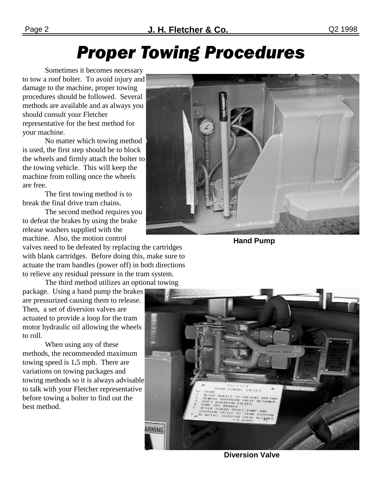### **Proper Towing Procedures**

 Sometimes it becomes necessary to tow a roof bolter. To avoid injury and damage to the machine, proper towing procedures should be followed. Several methods are available and as always you should consult your Fletcher representative for the best method for your machine.

 No matter which towing method is used, the first step should be to block the wheels and firmly attach the bolter to the towing vehicle. This will keep the machine from rolling once the wheels are free.

 The first towing method is to break the final drive tram chains.

 The second method requires you to defeat the brakes by using the brake release washers supplied with the machine. Also, the motion control

valves need to be defeated by replacing the cartridges with blank cartridges. Before doing this, make sure to actuate the tram handles (power off) in both directions to relieve any residual pressure in the tram system.

 The third method utilizes an optional towing package. Using a hand pump the brakes are pressurized causing them to release. Then, a set of diversion valves are actuated to provide a loop for the tram motor hydraulic oil allowing the wheels to roll.

 When using any of these methods, the recommended maximum towing speed is 1**.**5 mph. There are variations on towing packages and towing methods so it is always advisable to talk with your Fletcher representative before towing a bolter to find out the best method.



**Hand Pump** 



**Diversion Valve**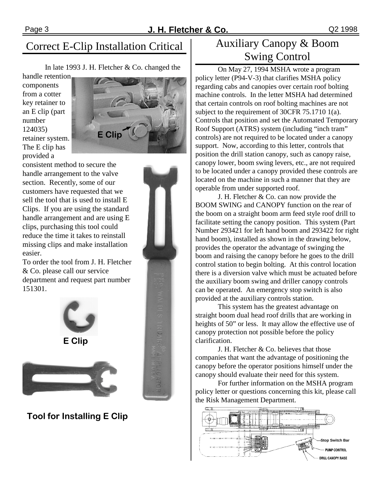In late 1993 J. H. Fletcher & Co. changed the

handle retention components from a cotter key retainer to an E clip (part number 124035) retainer system. The E clip has provided a



consistent method to secure the handle arrangement to the valve section. Recently, some of our customers have requested that we sell the tool that is used to install E Clips. If you are using the standard handle arrangement and are using E clips, purchasing this tool could reduce the time it takes to reinstall missing clips and make installation easier.

To order the tool from J. H. Fletcher & Co. please call our service department and request part number 151301.





Tool for Installing E Clip



 On May 27, 1994 MSHA wrote a program policy letter (P94-V-3) that clarifies MSHA policy regarding cabs and canopies over certain roof bolting machine controls. In the letter MSHA had determined that certain controls on roof bolting machines are not subject to the requirement of 30CFR 75.1710 1(a). Controls that position and set the Automated Temporary Roof Support (ATRS) system (including "inch tram" controls) are not required to be located under a canopy support. Now, according to this letter, controls that position the drill station canopy, such as canopy raise, canopy lower, boom swing levers, etc., are not required to be located under a canopy provided these controls are located on the machine in such a manner that they are operable from under supported roof.

 J. H. Fletcher & Co. can now provide the BOOM SWING and CANOPY function on the rear of the boom on a straight boom arm feed style roof drill to facilitate setting the canopy position. This system (Part Number 293421 for left hand boom and 293422 for right hand boom), installed as shown in the drawing below, provides the operator the advantage of swinging the boom and raising the canopy before he goes to the drill control station to begin bolting. At this control location there is a diversion valve which must be actuated before the auxiliary boom swing and driller canopy controls can be operated. An emergency stop switch is also provided at the auxiliary controls station.

 This system has the greatest advantage on straight boom dual head roof drills that are working in heights of 50" or less. It may allow the effective use of canopy protection not possible before the policy clarification.

 J. H. Fletcher & Co. believes that those companies that want the advantage of positioning the canopy before the operator positions himself under the canopy should evaluate their need for this system.

 For further information on the MSHA program policy letter or questions concerning this kit, please call the Risk Management Department.